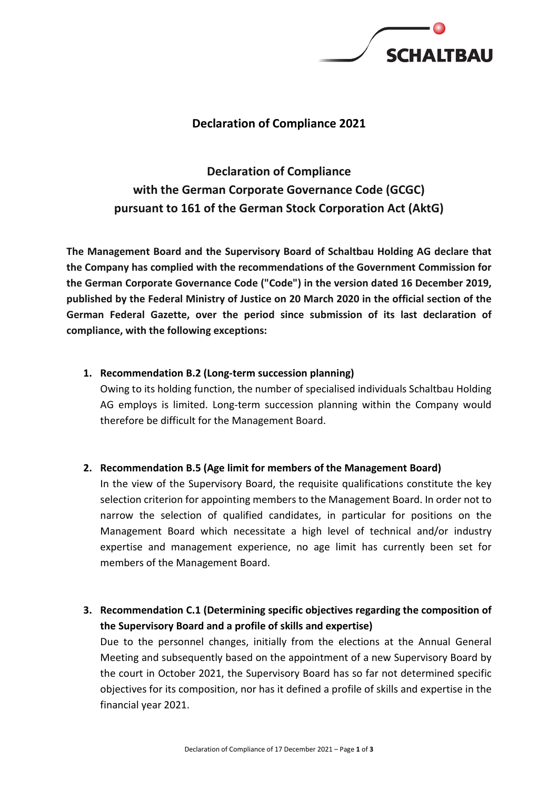

# **Declaration of Compliance 2021**

**Declaration of Compliance with the German Corporate Governance Code (GCGC) pursuant to 161 of the German Stock Corporation Act (AktG)**

**The Management Board and the Supervisory Board of Schaltbau Holding AG declare that the Company has complied with the recommendations of the Government Commission for the German Corporate Governance Code ("Code") in the version dated 16 December 2019, published by the Federal Ministry of Justice on 20 March 2020 in the official section of the German Federal Gazette, over the period since submission of its last declaration of compliance, with the following exceptions:**

#### **1. Recommendation B.2 (Long-term succession planning)**

Owing to its holding function, the number of specialised individuals Schaltbau Holding AG employs is limited. Long-term succession planning within the Company would therefore be difficult for the Management Board.

## **2. Recommendation B.5 (Age limit for members of the Management Board)**

In the view of the Supervisory Board, the requisite qualifications constitute the key selection criterion for appointing members to the Management Board. In order not to narrow the selection of qualified candidates, in particular for positions on the Management Board which necessitate a high level of technical and/or industry expertise and management experience, no age limit has currently been set for members of the Management Board.

**3. Recommendation C.1 (Determining specific objectives regarding the composition of the Supervisory Board and a profile of skills and expertise)**

Due to the personnel changes, initially from the elections at the Annual General Meeting and subsequently based on the appointment of a new Supervisory Board by the court in October 2021, the Supervisory Board has so far not determined specific objectives for its composition, nor has it defined a profile of skills and expertise in the financial year 2021.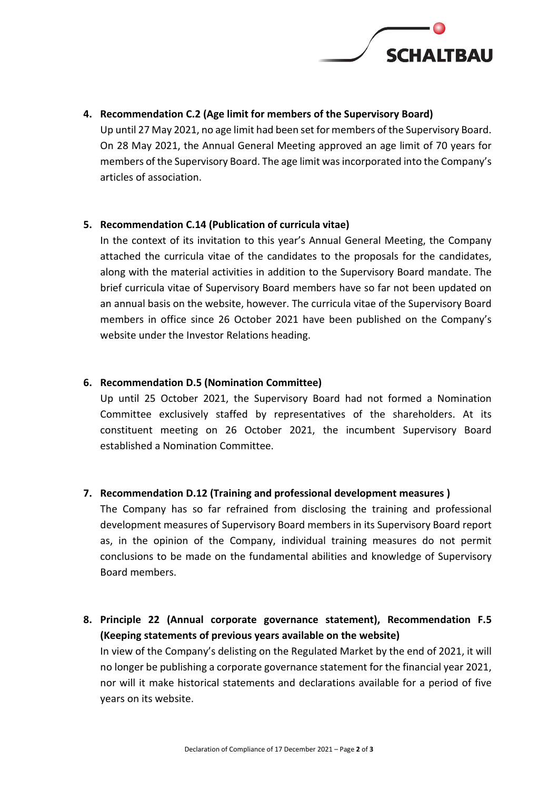

## **4. Recommendation C.2 (Age limit for members of the Supervisory Board)**

Up until 27 May 2021, no age limit had been set for members of the Supervisory Board. On 28 May 2021, the Annual General Meeting approved an age limit of 70 years for members of the Supervisory Board. The age limit was incorporated into the Company's articles of association.

## **5. Recommendation C.14 (Publication of curricula vitae)**

In the context of its invitation to this year's Annual General Meeting, the Company attached the curricula vitae of the candidates to the proposals for the candidates, along with the material activities in addition to the Supervisory Board mandate. The brief curricula vitae of Supervisory Board members have so far not been updated on an annual basis on the website, however. The curricula vitae of the Supervisory Board members in office since 26 October 2021 have been published on the Company's website under the Investor Relations heading.

## **6. Recommendation D.5 (Nomination Committee)**

Up until 25 October 2021, the Supervisory Board had not formed a Nomination Committee exclusively staffed by representatives of the shareholders. At its constituent meeting on 26 October 2021, the incumbent Supervisory Board established a Nomination Committee.

## **7. Recommendation D.12 (Training and professional development measures )**

The Company has so far refrained from disclosing the training and professional development measures of Supervisory Board members in its Supervisory Board report as, in the opinion of the Company, individual training measures do not permit conclusions to be made on the fundamental abilities and knowledge of Supervisory Board members.

**8. Principle 22 (Annual corporate governance statement), Recommendation F.5 (Keeping statements of previous years available on the website)** In view of the Company's delisting on the Regulated Market by the end of 2021, it will no longer be publishing a corporate governance statement for the financial year 2021, nor will it make historical statements and declarations available for a period of five years on its website.